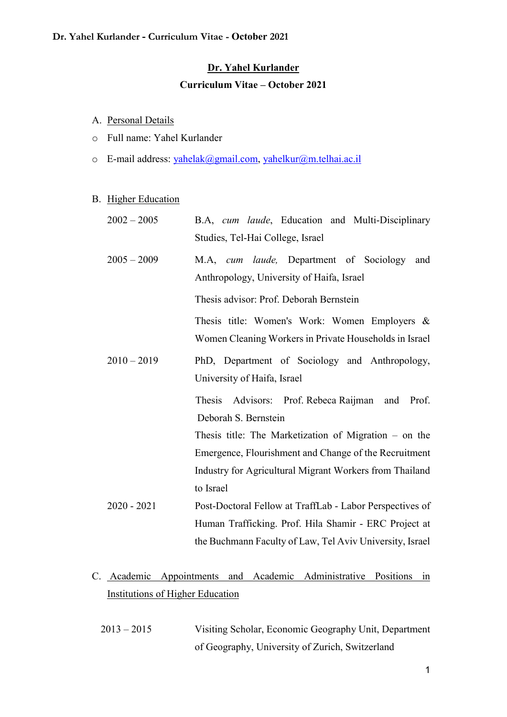## Dr. Yahel Kurlander

## Curriculum Vitae – October 2021

- A. Personal Details
- o Full name: Yahel Kurlander
- o E-mail address: yahelak@gmail.com, yahelkur@m.telhai.ac.il

### B. Higher Education

| $2002 - 2005$ | B.A, cum laude, Education and Multi-Disciplinary<br>Studies, Tel-Hai College, Israel                    |
|---------------|---------------------------------------------------------------------------------------------------------|
| $2005 - 2009$ | M.A, cum laude, Department of Sociology<br>and<br>Anthropology, University of Haifa, Israel             |
|               | Thesis advisor: Prof. Deborah Bernstein                                                                 |
|               | Thesis title: Women's Work: Women Employers &<br>Women Cleaning Workers in Private Households in Israel |
| $2010 - 2019$ | PhD, Department of Sociology and Anthropology,<br>University of Haifa, Israel                           |
|               | Thesis Advisors: Prof. Rebeca Raijman<br>Prof.<br>and<br>Deborah S. Bernstein                           |
|               | Thesis title: The Marketization of Migration $-$ on the                                                 |
|               | Emergence, Flourishment and Change of the Recruitment                                                   |
|               | Industry for Agricultural Migrant Workers from Thailand                                                 |
|               | to Israel                                                                                               |
| $2020 - 2021$ | Post-Doctoral Fellow at TraffLab - Labor Perspectives of                                                |
|               | Human Trafficking. Prof. Hila Shamir - ERC Project at                                                   |
|               | the Buchmann Faculty of Law, Tel Aviv University, Israel                                                |

- C. Academic Appointments and Academic Administrative Positions in Institutions of Higher Education
	- 2013 2015 Visiting Scholar, Economic Geography Unit, Department of Geography, University of Zurich, Switzerland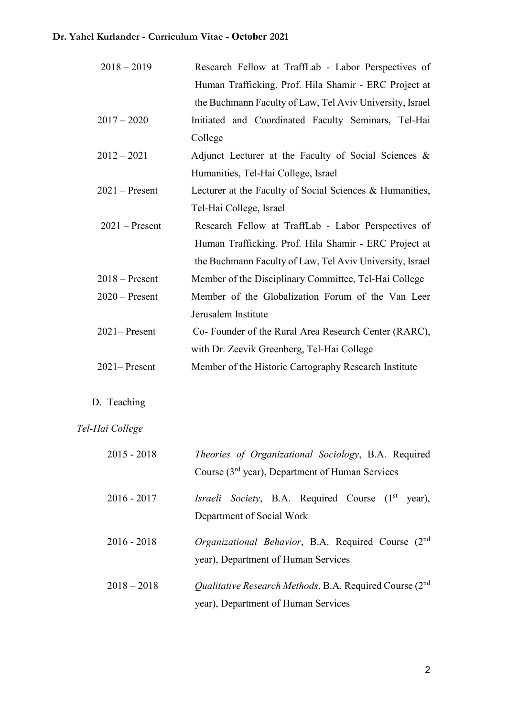| $2018 - 2019$    | Research Fellow at TraffLab - Labor Perspectives of           |
|------------------|---------------------------------------------------------------|
|                  | Human Trafficking. Prof. Hila Shamir - ERC Project at         |
|                  | the Buchmann Faculty of Law, Tel Aviv University, Israel      |
| $2017 - 2020$    | Initiated and Coordinated Faculty Seminars, Tel-Hai           |
|                  | College                                                       |
| $2012 - 2021$    | Adjunct Lecturer at the Faculty of Social Sciences &          |
|                  | Humanities, Tel-Hai College, Israel                           |
| $2021$ – Present | Lecturer at the Faculty of Social Sciences & Humanities,      |
|                  | Tel-Hai College, Israel                                       |
| $2021$ – Present | Research Fellow at TraffLab - Labor Perspectives of           |
|                  | Human Trafficking. Prof. Hila Shamir - ERC Project at         |
|                  | the Buchmann Faculty of Law, Tel Aviv University, Israel      |
| $2018 -$ Present | Member of the Disciplinary Committee, Tel-Hai College         |
| $2020$ – Present | Member of the Globalization Forum of the Van Leer             |
|                  | Jerusalem Institute                                           |
| $2021 -$ Present | Co- Founder of the Rural Area Research Center (RARC),         |
|                  | with Dr. Zeevik Greenberg, Tel-Hai College                    |
| $2021 -$ Present | Member of the Historic Cartography Research Institute         |
| D. Teaching      |                                                               |
|                  |                                                               |
| Tel-Hai College  |                                                               |
| $2015 - 2018$    | Theories of Organizational Sociology, B.A. Required           |
|                  | Course (3 <sup>rd</sup> year), Department of Human Services   |
| $2016 - 2017$    | Israeli Society, B.A. Required Course (1 <sup>st</sup> year), |
|                  | Department of Social Work                                     |
| $2016 - 2018$    | Organizational Behavior, B.A. Required Course (2nd)           |
|                  | year), Department of Human Services                           |

2018 – 2018 Qualitative Research Methods, B.A. Required Course (2<sup>nd</sup> year), Department of Human Services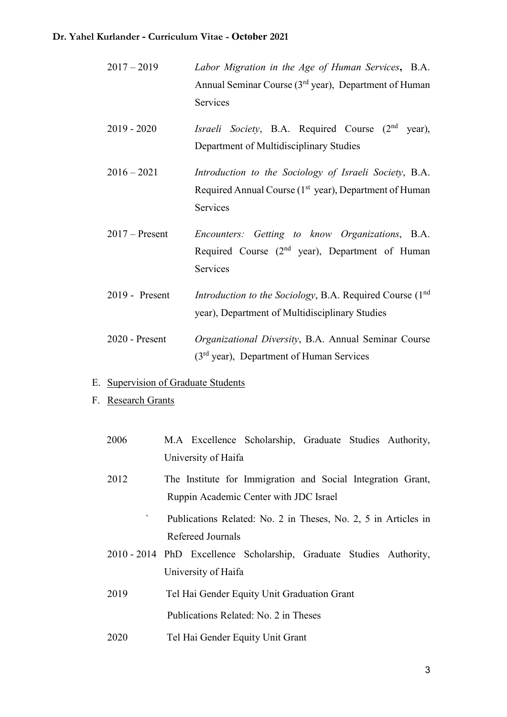| $2017 - 2019$ | Labor Migration in the Age of Human Services, B.A.                |
|---------------|-------------------------------------------------------------------|
|               | Annual Seminar Course (3 <sup>rd</sup> year), Department of Human |
|               | <b>Services</b>                                                   |

- 2019 2020 Israeli Society, B.A. Required Course  $(2^{nd}$  year), Department of Multidisciplinary Studies
- 2016 2021 Introduction to the Sociology of Israeli Society, B.A. Required Annual Course (1<sup>st</sup> year), Department of Human Services
- 2017 Present Encounters: Getting to know Organizations, B.A. Required Course  $(2<sup>nd</sup> year)$ , Department of Human Services
- 2019 Present *Introduction to the Sociology*, B.A. Required Course (1<sup>nd</sup>) year), Department of Multidisciplinary Studies
- 2020 Present Organizational Diversity, B.A. Annual Seminar Course (3rd year), Department of Human Services
- E. Supervision of Graduate Students
- F. Research Grants

| 2006 | M.A Excellence Scholarship, Graduate Studies Authority,             |
|------|---------------------------------------------------------------------|
|      | University of Haifa                                                 |
| 2012 | The Institute for Immigration and Social Integration Grant,         |
|      | Ruppin Academic Center with JDC Israel                              |
|      | Publications Related: No. 2 in Theses, No. 2, 5 in Articles in      |
|      | Refereed Journals                                                   |
|      | 2010 - 2014 PhD Excellence Scholarship, Graduate Studies Authority, |
|      | University of Haifa                                                 |
| 2019 | Tel Hai Gender Equity Unit Graduation Grant                         |
|      | Publications Related: No. 2 in Theses                               |
| 2020 | Tel Hai Gender Equity Unit Grant                                    |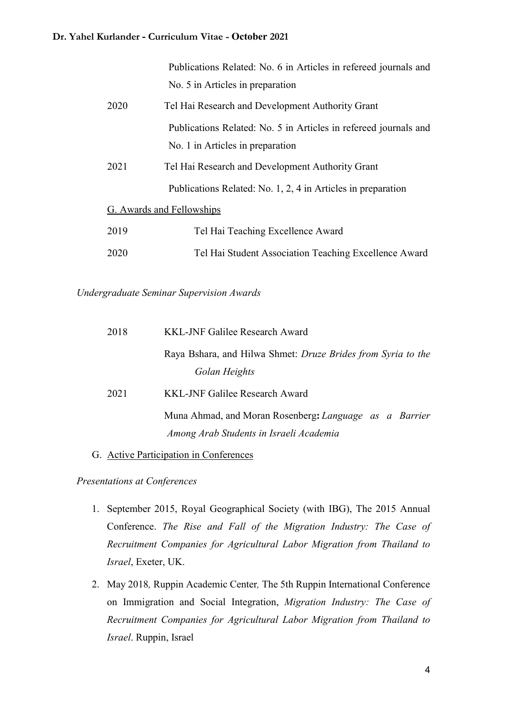|      | Publications Related: No. 6 in Articles in refereed journals and |
|------|------------------------------------------------------------------|
|      | No. 5 in Articles in preparation                                 |
| 2020 | Tel Hai Research and Development Authority Grant                 |
|      | Publications Related: No. 5 in Articles in refereed journals and |
|      | No. 1 in Articles in preparation                                 |
| 2021 | Tel Hai Research and Development Authority Grant                 |
|      | Publications Related: No. 1, 2, 4 in Articles in preparation     |
|      | G. Awards and Fellowships                                        |
| 2019 | Tel Hai Teaching Excellence Award                                |
| 2020 | Tel Hai Student Association Teaching Excellence Award            |

Undergraduate Seminar Supervision Awards

| 2018 | KKL-JNF Galilee Research Award                                                                    |
|------|---------------------------------------------------------------------------------------------------|
|      | Raya Bshara, and Hilwa Shmet: <i>Druze Brides from Syria to the</i>                               |
|      | Golan Heights                                                                                     |
| 2021 | <b>KKL-JNF Galilee Research Award</b>                                                             |
|      | Muna Ahmad, and Moran Rosenberg: Language as a Barrier<br>Among Arab Students in Israeli Academia |
|      |                                                                                                   |

G. Active Participation in Conferences

Presentations at Conferences

- 1. September 2015, Royal Geographical Society (with IBG), The 2015 Annual Conference. The Rise and Fall of the Migration Industry: The Case of Recruitment Companies for Agricultural Labor Migration from Thailand to Israel, Exeter, UK.
- 2. May 2018, Ruppin Academic Center, The 5th Ruppin International Conference on Immigration and Social Integration, Migration Industry: The Case of Recruitment Companies for Agricultural Labor Migration from Thailand to Israel. Ruppin, Israel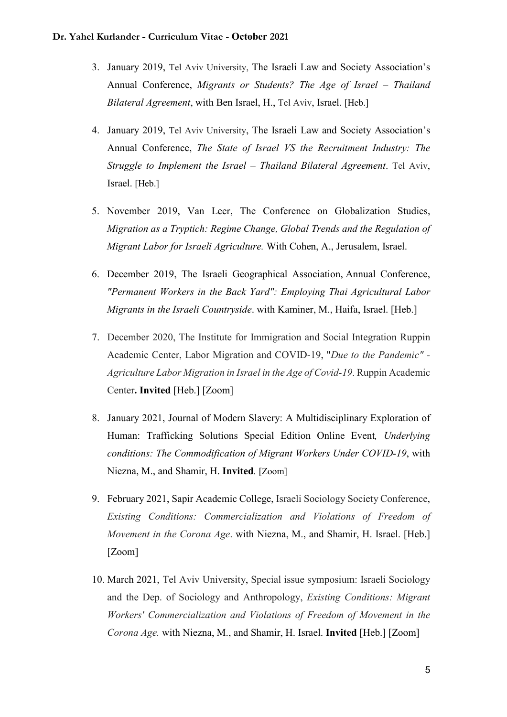- 3. January 2019, Tel Aviv University, The Israeli Law and Society Association's Annual Conference, Migrants or Students? The Age of Israel – Thailand Bilateral Agreement, with Ben Israel, H., Tel Aviv, Israel. [Heb.]
- 4. January 2019, Tel Aviv University, The Israeli Law and Society Association's Annual Conference, The State of Israel VS the Recruitment Industry: The Struggle to Implement the Israel – Thailand Bilateral Agreement. Tel Aviv, Israel. [Heb.]
- 5. November 2019, Van Leer, The Conference on Globalization Studies, Migration as a Tryptich: Regime Change, Global Trends and the Regulation of Migrant Labor for Israeli Agriculture. With Cohen, A., Jerusalem, Israel.
- 6. December 2019, The Israeli Geographical Association, Annual Conference, "Permanent Workers in the Back Yard": Employing Thai Agricultural Labor Migrants in the Israeli Countryside. with Kaminer, M., Haifa, Israel. [Heb.]
- 7. December 2020, The Institute for Immigration and Social Integration Ruppin Academic Center, Labor Migration and COVID-19, "Due to the Pandemic" - Agriculture Labor Migration in Israel in the Age of Covid-19. Ruppin Academic Center. Invited [Heb.] [Zoom]
- 8. January 2021, Journal of Modern Slavery: A Multidisciplinary Exploration of Human: Trafficking Solutions Special Edition Online Event, Underlying conditions: The Commodification of Migrant Workers Under COVID-19, with Niezna, M., and Shamir, H. Invited. [Zoom]
- 9. February 2021, Sapir Academic College, Israeli Sociology Society Conference, Existing Conditions: Commercialization and Violations of Freedom of Movement in the Corona Age. with Niezna, M., and Shamir, H. Israel. [Heb.] [Zoom]
- 10. March 2021, Tel Aviv University, Special issue symposium: Israeli Sociology and the Dep. of Sociology and Anthropology, Existing Conditions: Migrant Workers' Commercialization and Violations of Freedom of Movement in the Corona Age. with Niezna, M., and Shamir, H. Israel. Invited [Heb.] [Zoom]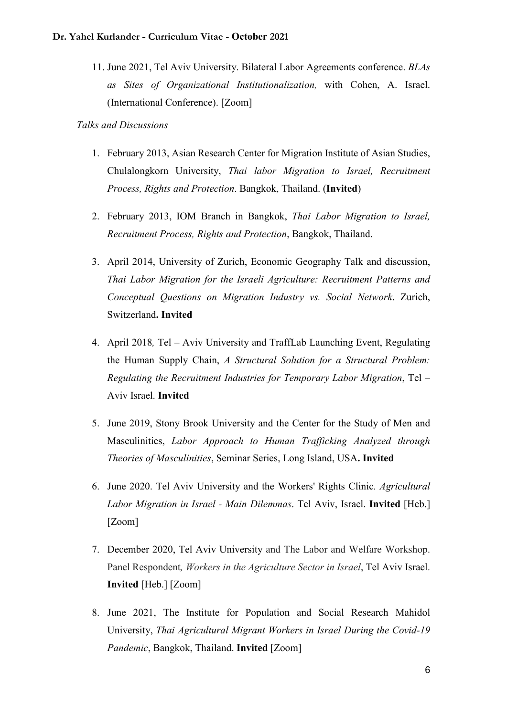11. June 2021, Tel Aviv University. Bilateral Labor Agreements conference. BLAs as Sites of Organizational Institutionalization, with Cohen, A. Israel. (International Conference). [Zoom]

Talks and Discussions

- 1. February 2013, Asian Research Center for Migration Institute of Asian Studies, Chulalongkorn University, Thai labor Migration to Israel, Recruitment Process, Rights and Protection. Bangkok, Thailand. (Invited)
- 2. February 2013, IOM Branch in Bangkok, Thai Labor Migration to Israel, Recruitment Process, Rights and Protection, Bangkok, Thailand.
- 3. April 2014, University of Zurich, Economic Geography Talk and discussion, Thai Labor Migration for the Israeli Agriculture: Recruitment Patterns and Conceptual Questions on Migration Industry vs. Social Network. Zurich, Switzerland. Invited
- 4. April 2018, Tel Aviv University and TraffLab Launching Event, Regulating the Human Supply Chain, A Structural Solution for a Structural Problem: Regulating the Recruitment Industries for Temporary Labor Migration, Tel – Aviv Israel. Invited
- 5. June 2019, Stony Brook University and the Center for the Study of Men and Masculinities, Labor Approach to Human Trafficking Analyzed through Theories of Masculinities, Seminar Series, Long Island, USA. Invited
- 6. June 2020. Tel Aviv University and the Workers' Rights Clinic. Agricultural Labor Migration in Israel - Main Dilemmas. Tel Aviv, Israel. Invited [Heb.] [Zoom]
- 7. December 2020, Tel Aviv University and The Labor and Welfare Workshop. Panel Respondent, Workers in the Agriculture Sector in Israel, Tel Aviv Israel. Invited [Heb.] [Zoom]
- 8. June 2021, The Institute for Population and Social Research Mahidol University, Thai Agricultural Migrant Workers in Israel During the Covid-19 Pandemic, Bangkok, Thailand. Invited [Zoom]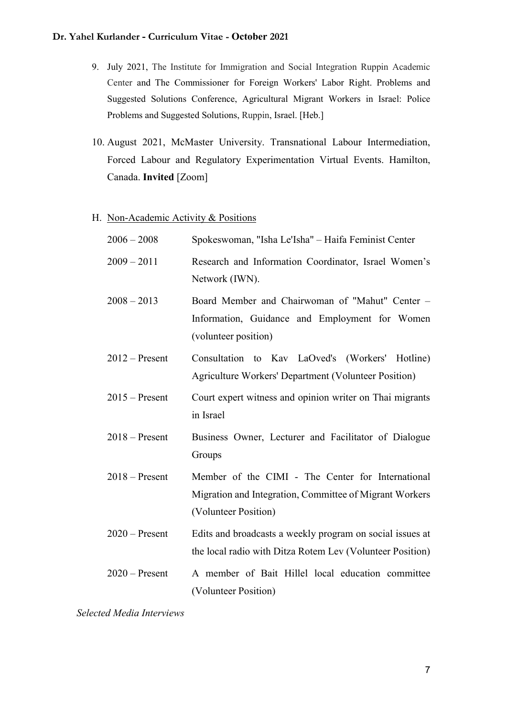- 9. July 2021, The Institute for Immigration and Social Integration Ruppin Academic Center and The Commissioner for Foreign Workers' Labor Right. Problems and Suggested Solutions Conference, Agricultural Migrant Workers in Israel: Police Problems and Suggested Solutions, Ruppin, Israel. [Heb.]
- 10. August 2021, McMaster University. Transnational Labour Intermediation, Forced Labour and Regulatory Experimentation Virtual Events. Hamilton, Canada. Invited [Zoom]

#### H. Non-Academic Activity & Positions

| $2006 - 2008$    | Spokeswoman, "Isha Le'Isha" - Haifa Feminist Center                                                                                  |
|------------------|--------------------------------------------------------------------------------------------------------------------------------------|
| $2009 - 2011$    | Research and Information Coordinator, Israel Women's<br>Network (IWN).                                                               |
| $2008 - 2013$    | Board Member and Chairwoman of "Mahut" Center -<br>Information, Guidance and Employment for Women<br>(volunteer position)            |
| $2012$ – Present | Consultation to Kav LaOved's (Workers' Hotline)<br>Agriculture Workers' Department (Volunteer Position)                              |
| $2015 -$ Present | Court expert witness and opinion writer on Thai migrants<br>in Israel                                                                |
| $2018 -$ Present | Business Owner, Lecturer and Facilitator of Dialogue<br>Groups                                                                       |
| $2018 -$ Present | Member of the CIMI - The Center for International<br>Migration and Integration, Committee of Migrant Workers<br>(Volunteer Position) |
| $2020$ – Present | Edits and broadcasts a weekly program on social issues at<br>the local radio with Ditza Rotem Lev (Volunteer Position)               |
| $2020$ – Present | A member of Bait Hillel local education committee<br>(Volunteer Position)                                                            |
|                  |                                                                                                                                      |

Selected Media Interviews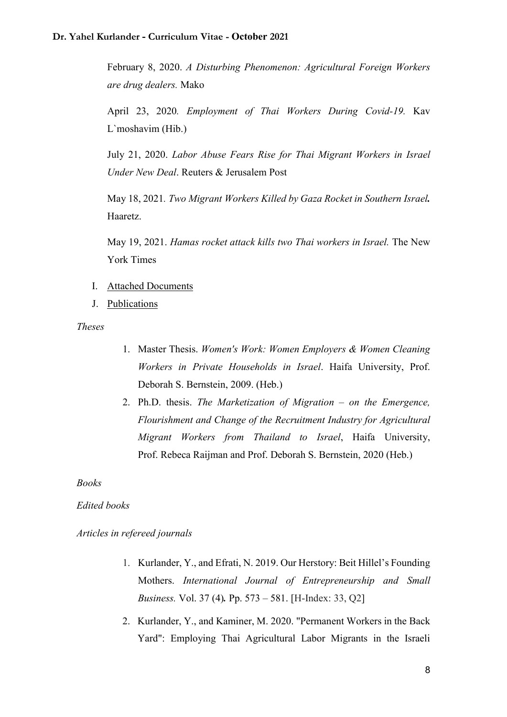February 8, 2020. A Disturbing Phenomenon: Agricultural Foreign Workers are drug dealers. Mako

April 23, 2020. Employment of Thai Workers During Covid-19. Kav L`moshavim (Hib.)

July 21, 2020. Labor Abuse Fears Rise for Thai Migrant Workers in Israel Under New Deal. Reuters & Jerusalem Post

May 18, 2021. Two Migrant Workers Killed by Gaza Rocket in Southern Israel. Haaretz.

May 19, 2021. Hamas rocket attack kills two Thai workers in Israel. The New York Times

- I. Attached Documents
- J. Publications

Theses

- 1. Master Thesis. Women's Work: Women Employers & Women Cleaning Workers in Private Households in Israel. Haifa University, Prof. Deborah S. Bernstein, 2009. (Heb.)
- 2. Ph.D. thesis. The Marketization of Migration on the Emergence, Flourishment and Change of the Recruitment Industry for Agricultural Migrant Workers from Thailand to Israel, Haifa University, Prof. Rebeca Raijman and Prof. Deborah S. Bernstein, 2020 (Heb.)

Books

#### Edited books

Articles in refereed journals

- 1. Kurlander, Y., and Efrati, N. 2019. Our Herstory: Beit Hillel's Founding Mothers. International Journal of Entrepreneurship and Small Business. Vol. 37 (4). Pp. 573 – 581. [H-Index: 33, Q2]
- 2. Kurlander, Y., and Kaminer, M. 2020. "Permanent Workers in the Back Yard": Employing Thai Agricultural Labor Migrants in the Israeli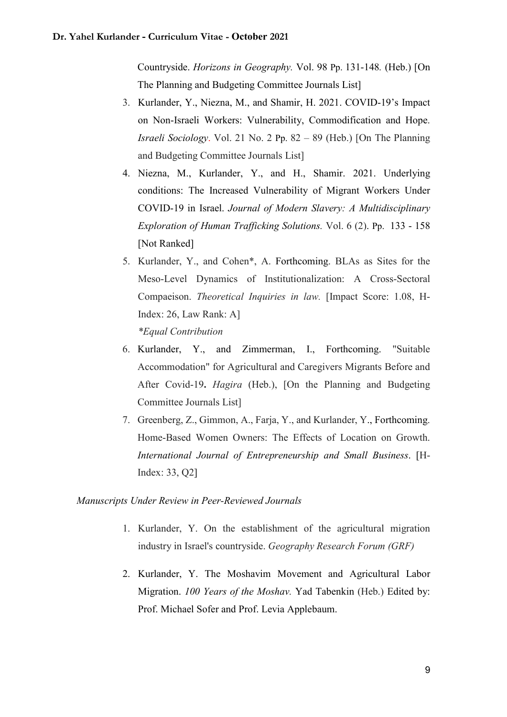Countryside. Horizons in Geography. Vol. 98 Pp. 131-148. (Heb.) [On The Planning and Budgeting Committee Journals List]

- 3. Kurlander, Y., Niezna, M., and Shamir, H. 2021. COVID-19's Impact on Non-Israeli Workers: Vulnerability, Commodification and Hope. Israeli Sociology. Vol. 21 No. 2 Pp. 82 – 89 (Heb.) [On The Planning and Budgeting Committee Journals List]
- 4. Niezna, M., Kurlander, Y., and H., Shamir. 2021. Underlying conditions: The Increased Vulnerability of Migrant Workers Under COVID-19 in Israel. Journal of Modern Slavery: A Multidisciplinary Exploration of Human Trafficking Solutions. Vol. 6 (2). Pp. 133 - 158 [Not Ranked]
- 5. Kurlander, Y., and Cohen\*, A. Forthcoming. BLAs as Sites for the Meso-Level Dynamics of Institutionalization: A Cross-Sectoral Compaeison. Theoretical Inquiries in law. [Impact Score: 1.08, H-Index: 26, Law Rank: A] \*Equal Contribution
- 6. Kurlander, Y., and Zimmerman, I., Forthcoming. "Suitable Accommodation" for Agricultural and Caregivers Migrants Before and After Covid-19. *Hagira* (Heb.), [On the Planning and Budgeting Committee Journals List]
- 7. Greenberg, Z., Gimmon, A., Farja, Y., and Kurlander, Y., Forthcoming. Home-Based Women Owners: The Effects of Location on Growth. International Journal of Entrepreneurship and Small Business. [H-Index: 33, Q2]

### Manuscripts Under Review in Peer-Reviewed Journals

- 1. Kurlander, Y. On the establishment of the agricultural migration industry in Israel's countryside. Geography Research Forum (GRF)
- 2. Kurlander, Y. The Moshavim Movement and Agricultural Labor Migration. 100 Years of the Moshav. Yad Tabenkin (Heb.) Edited by: Prof. Michael Sofer and Prof. Levia Applebaum.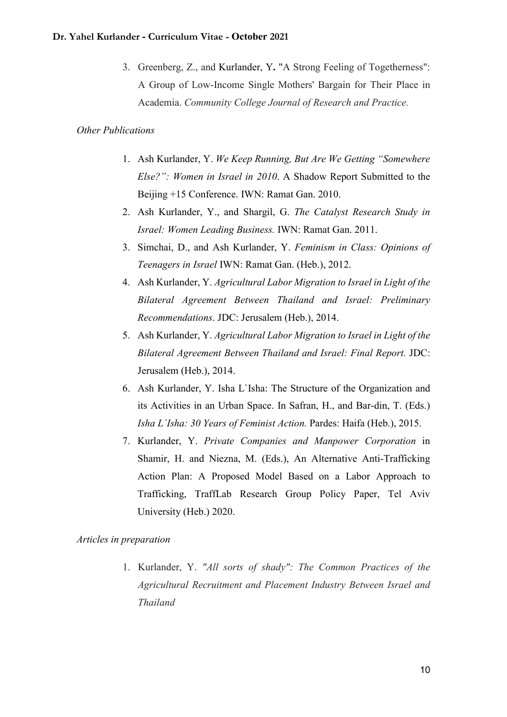3. Greenberg, Z., and Kurlander, Y. "A Strong Feeling of Togetherness": A Group of Low-Income Single Mothers' Bargain for Their Place in Academia. Community College Journal of Research and Practice.

#### Other Publications

- 1. Ash Kurlander, Y. We Keep Running, But Are We Getting "Somewhere Else?": Women in Israel in 2010. A Shadow Report Submitted to the Beijing +15 Conference. IWN: Ramat Gan. 2010.
- 2. Ash Kurlander, Y., and Shargil, G. The Catalyst Research Study in Israel: Women Leading Business. IWN: Ramat Gan. 2011.
- 3. Simchai, D., and Ash Kurlander, Y. Feminism in Class: Opinions of Teenagers in Israel IWN: Ramat Gan. (Heb.), 2012.
- 4. Ash Kurlander, Y. Agricultural Labor Migration to Israel in Light of the Bilateral Agreement Between Thailand and Israel: Preliminary Recommendations. JDC: Jerusalem (Heb.), 2014.
- 5. Ash Kurlander, Y. Agricultural Labor Migration to Israel in Light of the Bilateral Agreement Between Thailand and Israel: Final Report. JDC: Jerusalem (Heb.), 2014.
- 6. Ash Kurlander, Y. Isha L`Isha: The Structure of the Organization and its Activities in an Urban Space. In Safran, H., and Bar-din, T. (Eds.) Isha L`Isha: 30 Years of Feminist Action. Pardes: Haifa (Heb.), 2015.
- 7. Kurlander, Y. Private Companies and Manpower Corporation in Shamir, H. and Niezna, M. (Eds.), An Alternative Anti-Trafficking Action Plan: A Proposed Model Based on a Labor Approach to Trafficking, TraffLab Research Group Policy Paper, Tel Aviv University (Heb.) 2020.

#### Articles in preparation

1. Kurlander, Y. "All sorts of shady": The Common Practices of the Agricultural Recruitment and Placement Industry Between Israel and Thailand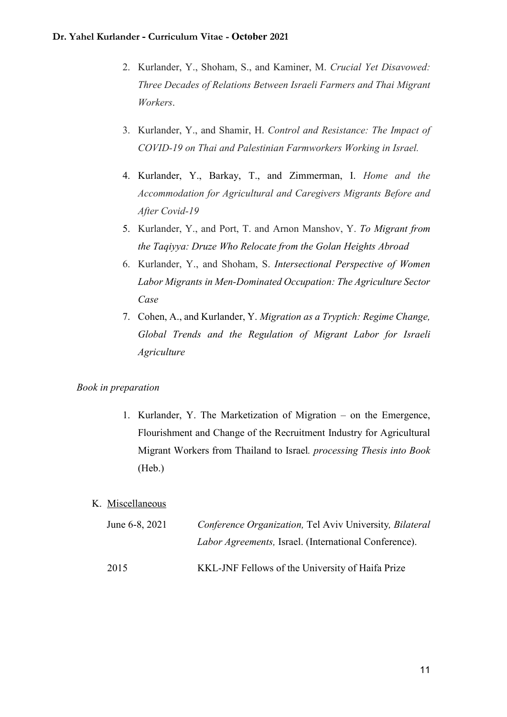- 2. Kurlander, Y., Shoham, S., and Kaminer, M. Crucial Yet Disavowed: Three Decades of Relations Between Israeli Farmers and Thai Migrant Workers.
- 3. Kurlander, Y., and Shamir, H. Control and Resistance: The Impact of COVID-19 on Thai and Palestinian Farmworkers Working in Israel.
- 4. Kurlander, Y., Barkay, T., and Zimmerman, I. Home and the Accommodation for Agricultural and Caregivers Migrants Before and After Covid-19
- 5. Kurlander, Y., and Port, T. and Arnon Manshov, Y. To Migrant from the Taqiyya: Druze Who Relocate from the Golan Heights Abroad
- 6. Kurlander, Y., and Shoham, S. Intersectional Perspective of Women Labor Migrants in Men-Dominated Occupation: The Agriculture Sector Case
- 7. Cohen, A., and Kurlander, Y. Migration as a Tryptich: Regime Change, Global Trends and the Regulation of Migrant Labor for Israeli Agriculture

## Book in preparation

1. Kurlander, Y. The Marketization of Migration – on the Emergence, Flourishment and Change of the Recruitment Industry for Agricultural Migrant Workers from Thailand to Israel. processing Thesis into Book (Heb.)

## K. Miscellaneous

| June 6-8, 2021 | Conference Organization, Tel Aviv University, Bilateral      |
|----------------|--------------------------------------------------------------|
|                | <i>Labor Agreements, Israel. (International Conference).</i> |
| 2015           | KKL-JNF Fellows of the University of Haifa Prize             |